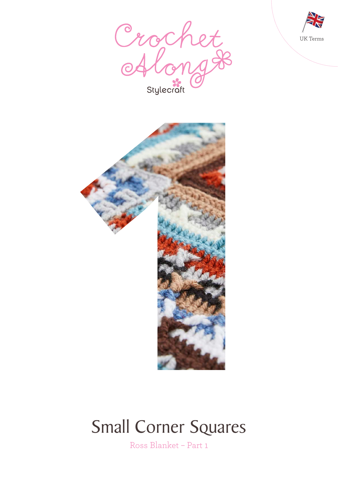





# Small Corner Squares

Ross Blanket – Part 1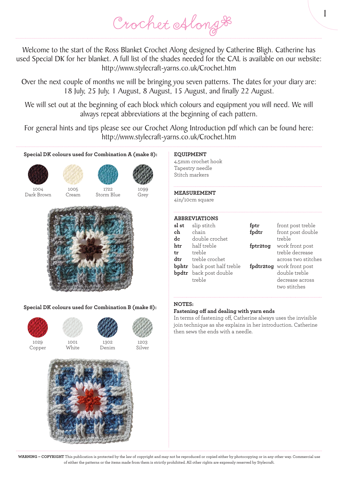Crochet Along &

Welcome to the start of the Ross Blanket Crochet Along designed by Catherine Bligh. Catherine has used Special DK for her blanket. A full list of the shades needed for the CAL is available on our website: http://www.stylecraft-yarns.co.uk/Crochet.htm

Over the next couple of months we will be bringing you seven patterns. The dates for your diary are: 18 July, 25 July, 1 August, 8 August, 15 August, and finally 22 August.

We will set out at the beginning of each block which colours and equipment you will need. We will always repeat abbreviations at the beginning of each pattern.

For general hints and tips please see our Crochet Along Introduction pdf which can be found here: http://www.stylecraft-yarns.co.uk/Crochet.htm



**Special DK colours used for Combination B (make 8):**



Copper



**White** 



1302 Denim

1203 Silver



## **EQUIPMENT**

4.5mm crochet hook Tapestry needle Stitch markers

### **MEASUREMENT**

4in/10cm square

#### **ABBREVIATIONS**

| sl st | slip stitch                        | fptr     | front post treble         |
|-------|------------------------------------|----------|---------------------------|
| ch    | chain                              | fpdtr    | front post double         |
| dc    | double crochet                     |          | treble                    |
| htr   | half treble                        | fptr2tog | work front post           |
| tr    | treble                             |          | treble decrease           |
| dtr   | treble crochet                     |          | across two stitches       |
|       | <b>bphtr</b> back post half treble |          | fpdtr2tog work front post |
|       | <b>bpdtr</b> back post double      |          | double treble             |
|       | treble                             |          | decrease across           |
|       |                                    |          | two stitches              |

1

### **NOTES:**

### **Fastening off and dealing with yarn ends**

In terms of fastening off, Catherine always uses the invisible join technique as she explains in her introduction. Catherine then sews the ends with a needle.

**WARNING – COPYRIGHT** This publication is protected by the law of copyright and may not be reproduced or copied either by photocopying or in any other way. Commercial use of either the patterns or the items made from them is strictly prohibited. All other rights are expressly reserved by Stylecraft.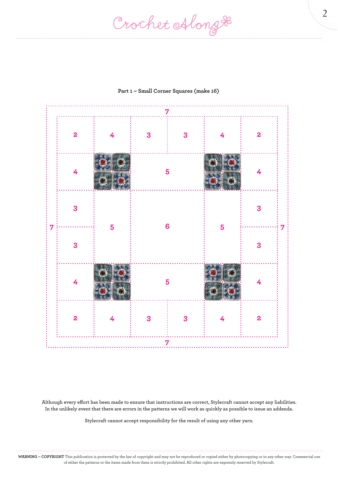Crochet Along #



## **Part 1 – Small Corner Squares (make 16)**

**Although every effort has been made to ensure that instructions are correct, Stylecraft cannot accept any liabilities. In the unlikely event that there are errors in the patterns we will work as quickly as possible to issue an addenda.**

**Stylecraft cannot accept responsibility for the result of using any other yarn.**